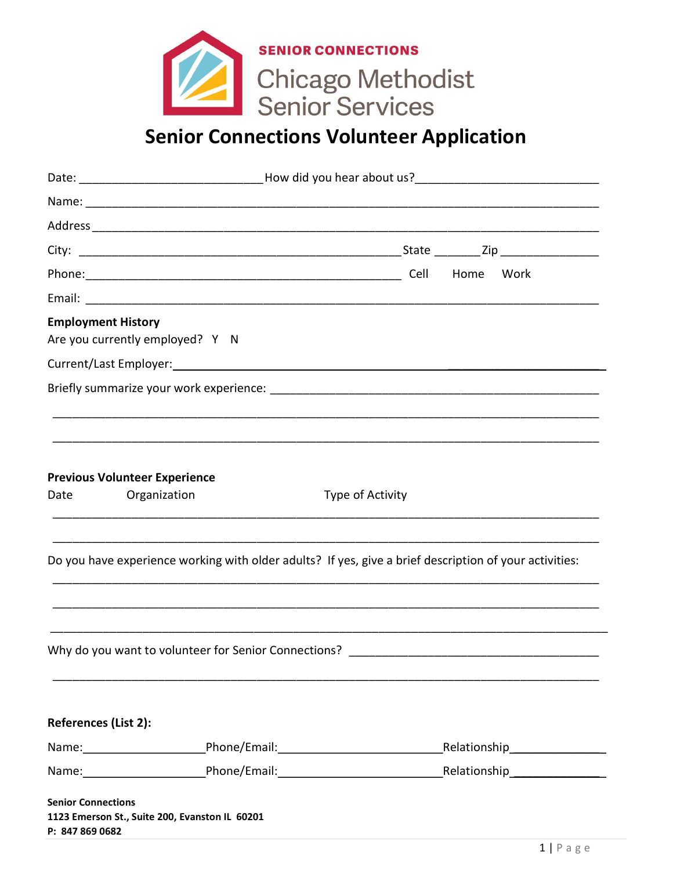

## **Senior Connections Volunteer Application**

| <b>Employment History</b><br>Are you currently employed? Y N                                   |                                                                                                        |                  |  |                                         |
|------------------------------------------------------------------------------------------------|--------------------------------------------------------------------------------------------------------|------------------|--|-----------------------------------------|
|                                                                                                |                                                                                                        |                  |  |                                         |
|                                                                                                |                                                                                                        |                  |  |                                         |
|                                                                                                |                                                                                                        |                  |  |                                         |
|                                                                                                |                                                                                                        |                  |  |                                         |
| <b>Previous Volunteer Experience</b>                                                           |                                                                                                        |                  |  |                                         |
| Date                                                                                           | Organization                                                                                           | Type of Activity |  |                                         |
|                                                                                                |                                                                                                        |                  |  |                                         |
|                                                                                                |                                                                                                        |                  |  |                                         |
|                                                                                                | Do you have experience working with older adults? If yes, give a brief description of your activities: |                  |  |                                         |
|                                                                                                |                                                                                                        |                  |  |                                         |
|                                                                                                |                                                                                                        |                  |  |                                         |
|                                                                                                |                                                                                                        |                  |  |                                         |
|                                                                                                |                                                                                                        |                  |  |                                         |
|                                                                                                |                                                                                                        |                  |  |                                         |
| References (List 2):                                                                           |                                                                                                        |                  |  |                                         |
|                                                                                                |                                                                                                        |                  |  | Relationship <sub>_______________</sub> |
|                                                                                                | Name: Phone/Email: Relationship Relationship                                                           |                  |  |                                         |
| <b>Senior Connections</b><br>1123 Emerson St., Suite 200, Evanston IL 60201<br>P: 847 869 0682 |                                                                                                        |                  |  |                                         |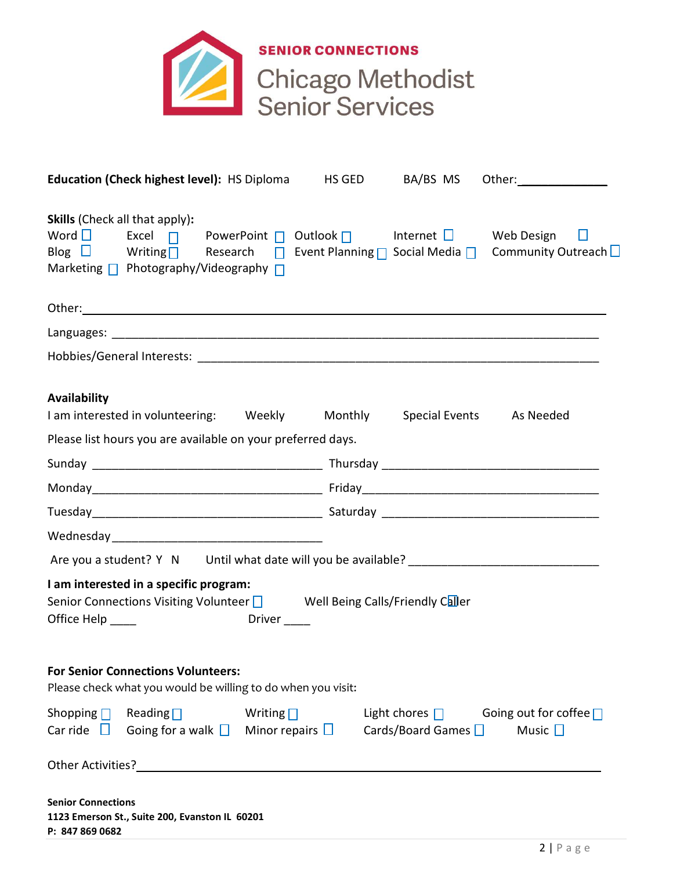

| <b>Education (Check highest level): HS Diploma</b>                                                                                                                                                                                                     | HS GED BA/BS MS<br>Other:________________                                                      |  |  |
|--------------------------------------------------------------------------------------------------------------------------------------------------------------------------------------------------------------------------------------------------------|------------------------------------------------------------------------------------------------|--|--|
| <b>Skills</b> (Check all that apply):<br>Word $\Box$ Excel $\Box$ PowerPoint $\Box$ Outlook $\Box$ Internet $\Box$<br>Blog $\Box$ Writing Research $\Box$ Event Planning $\Box$ Social Media $\Box$<br>Marketing $\Box$ Photography/Videography $\Box$ | Web Design<br>$\perp$<br>Community Outreach                                                    |  |  |
|                                                                                                                                                                                                                                                        |                                                                                                |  |  |
|                                                                                                                                                                                                                                                        |                                                                                                |  |  |
|                                                                                                                                                                                                                                                        |                                                                                                |  |  |
| <b>Availability</b><br>I am interested in volunteering: Weekly Monthly Special Events As Needed<br>Please list hours you are available on your preferred days.                                                                                         |                                                                                                |  |  |
|                                                                                                                                                                                                                                                        |                                                                                                |  |  |
|                                                                                                                                                                                                                                                        |                                                                                                |  |  |
|                                                                                                                                                                                                                                                        |                                                                                                |  |  |
|                                                                                                                                                                                                                                                        |                                                                                                |  |  |
|                                                                                                                                                                                                                                                        |                                                                                                |  |  |
| I am interested in a specific program:<br>Senior Connections Visiting Volunteer ■ Well Being Calls/Friendly Caller<br>Office Help _____<br>Driver <sub>____</sub>                                                                                      |                                                                                                |  |  |
| <b>For Senior Connections Volunteers:</b><br>Please check what you would be willing to do when you visit:                                                                                                                                              |                                                                                                |  |  |
| Shopping $\Box$<br>Reading $\Box$<br>Writing $\Box$<br>Car ride $\Box$<br>Minor repairs $\Box$<br>Going for a walk $\Box$                                                                                                                              | Light chores $\Box$<br>Going out for coffee $\Box$<br>Cards/Board Games $\Box$<br>Music $\Box$ |  |  |
|                                                                                                                                                                                                                                                        |                                                                                                |  |  |
| <b>Senior Connections</b><br>1123 Emerson St., Suite 200, Evanston IL 60201                                                                                                                                                                            |                                                                                                |  |  |

P: 847 869 0682